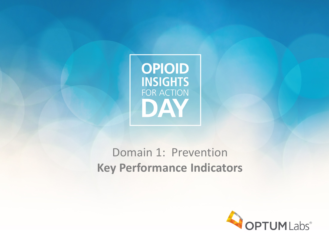

## Domain 1: Prevention **Key Performance Indicators**

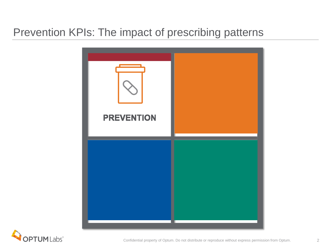#### Prevention KPIs: The impact of prescribing patterns



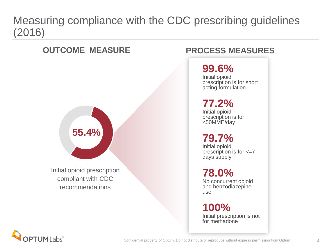#### Measuring compliance with the CDC prescribing guidelines (2016)

# **55.4%**

Initial opioid prescription compliant with CDC recommendations

#### **OUTCOME MEASURE PROCESS MEASURES**

#### **99.6%**

Initial opioid prescription is for short acting formulation

#### **77.2%**

Initial opioid prescription is for <50MME/day

#### **79.7%**

Initial opioid prescription is for <=7 days supply

**78.0%**

No concurrent opioid and benzodiazepine use

**100%** Initial prescription is not for methadone

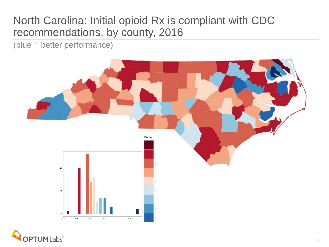#### North Carolina: Initial opioid Rx is compliant with CDC recommendations, by county, 2016

(blue = better performance)



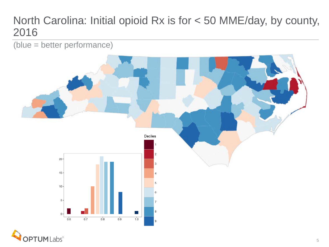#### North Carolina: Initial opioid Rx is for < 50 MME/day, by county, 2016

(blue = better performance)



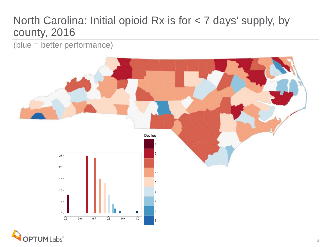#### North Carolina: Initial opioid Rx is for < 7 days' supply, by county, 2016

(blue = better performance)



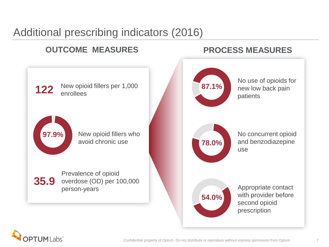### Additional prescribing indicators (2016)

#### **87.1% 78.0% 54.0%** No use of opioids for new low back pain patients No concurrent opioid and benzodiazepine use Appropriate contact with provider before second opioid prescription **122 97.9% 35.9** New opioid fillers per 1,000 enrollees New opioid fillers who avoid chronic use Prevalence of opioid overdose (OD) per 100,000 person-years **OUTCOME MEASURES PROCESS MEASURES**